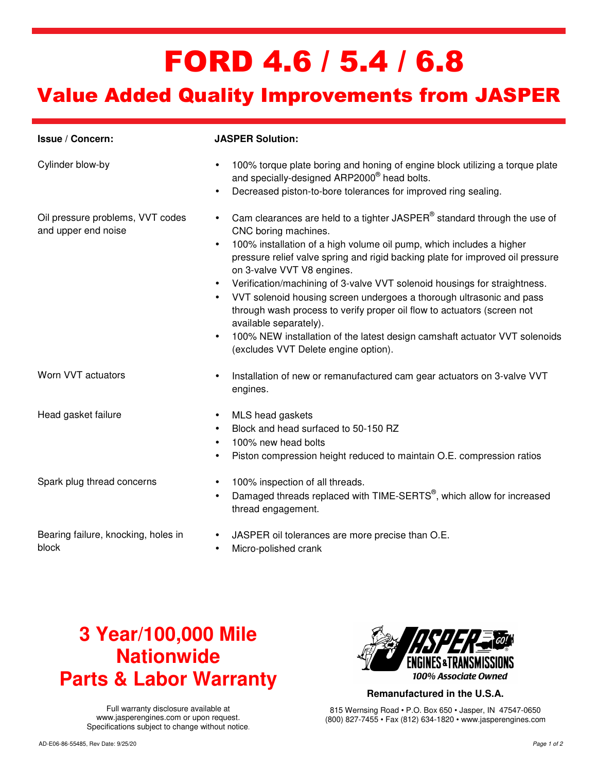# FORD 4.6 / 5.4 / 6.8

### Value Added Quality Improvements from JASPER

| Issue / Concern:                                        | <b>JASPER Solution:</b>                                                                                                                                                                                                                                                                                                                                                                                                                                                                                                                                                                                                                                                                                                      |
|---------------------------------------------------------|------------------------------------------------------------------------------------------------------------------------------------------------------------------------------------------------------------------------------------------------------------------------------------------------------------------------------------------------------------------------------------------------------------------------------------------------------------------------------------------------------------------------------------------------------------------------------------------------------------------------------------------------------------------------------------------------------------------------------|
| Cylinder blow-by                                        | 100% torque plate boring and honing of engine block utilizing a torque plate<br>$\bullet$<br>and specially-designed ARP2000 <sup>®</sup> head bolts.<br>Decreased piston-to-bore tolerances for improved ring sealing.<br>$\bullet$                                                                                                                                                                                                                                                                                                                                                                                                                                                                                          |
| Oil pressure problems, VVT codes<br>and upper end noise | Cam clearances are held to a tighter JASPER® standard through the use of<br>$\bullet$<br>CNC boring machines.<br>100% installation of a high volume oil pump, which includes a higher<br>$\bullet$<br>pressure relief valve spring and rigid backing plate for improved oil pressure<br>on 3-valve VVT V8 engines.<br>Verification/machining of 3-valve VVT solenoid housings for straightness.<br>$\bullet$<br>VVT solenoid housing screen undergoes a thorough ultrasonic and pass<br>through wash process to verify proper oil flow to actuators (screen not<br>available separately).<br>100% NEW installation of the latest design camshaft actuator VVT solenoids<br>$\bullet$<br>(excludes VVT Delete engine option). |
| Worn VVT actuators                                      | Installation of new or remanufactured cam gear actuators on 3-valve VVT<br>$\bullet$<br>engines.                                                                                                                                                                                                                                                                                                                                                                                                                                                                                                                                                                                                                             |
| Head gasket failure                                     | MLS head gaskets<br>$\bullet$<br>Block and head surfaced to 50-150 RZ<br>$\bullet$<br>100% new head bolts<br>$\bullet$<br>Piston compression height reduced to maintain O.E. compression ratios<br>$\bullet$                                                                                                                                                                                                                                                                                                                                                                                                                                                                                                                 |
| Spark plug thread concerns                              | 100% inspection of all threads.<br>$\bullet$<br>Damaged threads replaced with TIME-SERTS <sup>®</sup> , which allow for increased<br>$\bullet$<br>thread engagement.                                                                                                                                                                                                                                                                                                                                                                                                                                                                                                                                                         |
| Bearing failure, knocking, holes in<br>block            | JASPER oil tolerances are more precise than O.E.<br>$\bullet$<br>Micro-polished crank                                                                                                                                                                                                                                                                                                                                                                                                                                                                                                                                                                                                                                        |

### **3 Year/100,000 Mile Nationwide Parts & Labor Warranty**

Full warranty disclosure available at www.jasperengines.com or upon request. Specifications subject to change without notice.



**Remanufactured in the U.S.A.** 

815 Wernsing Road • P.O. Box 650 • Jasper, IN 47547-0650 (800) 827-7455 • Fax (812) 634-1820 • www.jasperengines.com